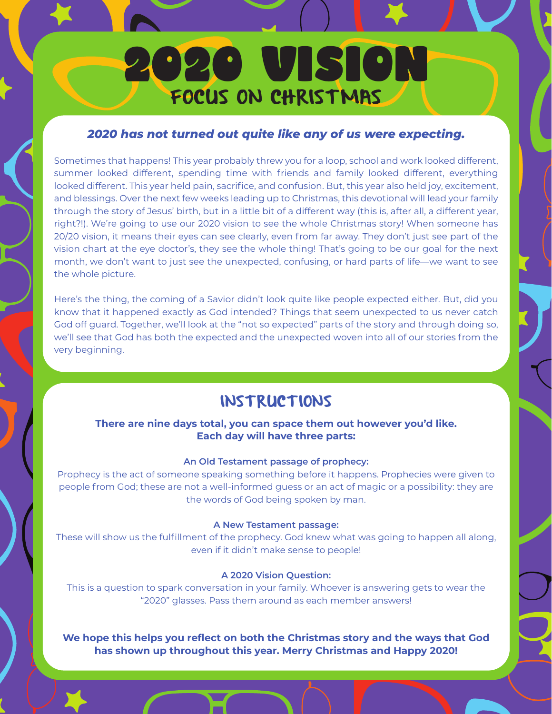# 2020 VISION FOCUS ON CHRISTMAS

### *2020 has not turned out quite like any of us were expecting.*

Sometimes that happens! This year probably threw you for a loop, school and work looked different, summer looked different, spending time with friends and family looked different, everything looked different. This year held pain, sacrifice, and confusion. But, this year also held joy, excitement, and blessings. Over the next few weeks leading up to Christmas, this devotional will lead your family through the story of Jesus' birth, but in a little bit of a different way (this is, after all, a different year, right?!). We're going to use our 2020 vision to see the whole Christmas story! When someone has 20/20 vision, it means their eyes can see clearly, even from far away. They don't just see part of the vision chart at the eye doctor's, they see the whole thing! That's going to be our goal for the next month, we don't want to just see the unexpected, confusing, or hard parts of life—we want to see the whole picture.

Here's the thing, the coming of a Savior didn't look quite like people expected either. But, did you know that it happened exactly as God intended? Things that seem unexpected to us never catch God off guard. Together, we'll look at the "not so expected" parts of the story and through doing so, we'll see that God has both the expected and the unexpected woven into all of our stories from the very beginning.

## **INSTRUCTIONS**

### **There are nine days total, you can space them out however you'd like. Each day will have three parts:**

### **An Old Testament passage of prophecy:**

Prophecy is the act of someone speaking something before it happens. Prophecies were given to people from God; these are not a well-informed guess or an act of magic or a possibility: they are the words of God being spoken by man.

### **A New Testament passage:**

These will show us the fulfillment of the prophecy. God knew what was going to happen all along, even if it didn't make sense to people!

### **A 2020 Vision Question:**

This is a question to spark conversation in your family. Whoever is answering gets to wear the "2020" glasses. Pass them around as each member answers!

**We hope this helps you reflect on both the Christmas story and the ways that God has shown up throughout this year. Merry Christmas and Happy 2020!**